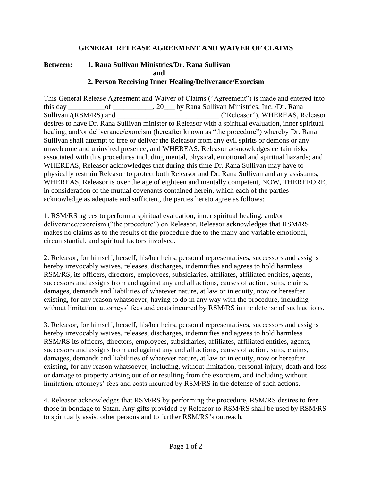## **GENERAL RELEASE AGREEMENT AND WAIVER OF CLAIMS**

## **Between: 1. Rana Sullivan Ministries/Dr. Rana Sullivan and 2. Person Receiving Inner Healing/Deliverance/Exorcism**

This General Release Agreement and Waiver of Claims ("Agreement") is made and entered into this day \_\_\_\_\_\_\_\_\_\_of \_\_\_\_\_\_\_\_\_\_\_, 20\_\_\_ by Rana Sullivan Ministries, Inc. /Dr. Rana Sullivan /(RSM/RS) and <br>
("Releasor"). WHEREAS, Releasor desires to have Dr. Rana Sullivan minister to Releasor with a spiritual evaluation, inner spiritual healing, and/or deliverance/exorcism (hereafter known as "the procedure") whereby Dr. Rana Sullivan shall attempt to free or deliver the Releasor from any evil spirits or demons or any unwelcome and uninvited presence; and WHEREAS, Releasor acknowledges certain risks associated with this procedures including mental, physical, emotional and spiritual hazards; and WHEREAS, Releasor acknowledges that during this time Dr. Rana Sullivan may have to physically restrain Releasor to protect both Releasor and Dr. Rana Sullivan and any assistants, WHEREAS, Releasor is over the age of eighteen and mentally competent, NOW, THEREFORE, in consideration of the mutual covenants contained herein, which each of the parties acknowledge as adequate and sufficient, the parties hereto agree as follows:

1. RSM/RS agrees to perform a spiritual evaluation, inner spiritual healing, and/or deliverance/exorcism ("the procedure") on Releasor. Releasor acknowledges that RSM/RS makes no claims as to the results of the procedure due to the many and variable emotional, circumstantial, and spiritual factors involved.

2. Releasor, for himself, herself, his/her heirs, personal representatives, successors and assigns hereby irrevocably waives, releases, discharges, indemnifies and agrees to hold harmless RSM/RS, its officers, directors, employees, subsidiaries, affiliates, affiliated entities, agents, successors and assigns from and against any and all actions, causes of action, suits, claims, damages, demands and liabilities of whatever nature, at law or in equity, now or hereafter existing, for any reason whatsoever, having to do in any way with the procedure, including without limitation, attorneys' fees and costs incurred by RSM/RS in the defense of such actions.

3. Releasor, for himself, herself, his/her heirs, personal representatives, successors and assigns hereby irrevocably waives, releases, discharges, indemnifies and agrees to hold harmless RSM/RS its officers, directors, employees, subsidiaries, affiliates, affiliated entities, agents, successors and assigns from and against any and all actions, causes of action, suits, claims, damages, demands and liabilities of whatever nature, at law or in equity, now or hereafter existing, for any reason whatsoever, including, without limitation, personal injury, death and loss or damage to property arising out of or resulting from the exorcism, and including without limitation, attorneys' fees and costs incurred by RSM/RS in the defense of such actions.

4. Releasor acknowledges that RSM/RS by performing the procedure, RSM/RS desires to free those in bondage to Satan. Any gifts provided by Releasor to RSM/RS shall be used by RSM/RS to spiritually assist other persons and to further RSM/RS's outreach.